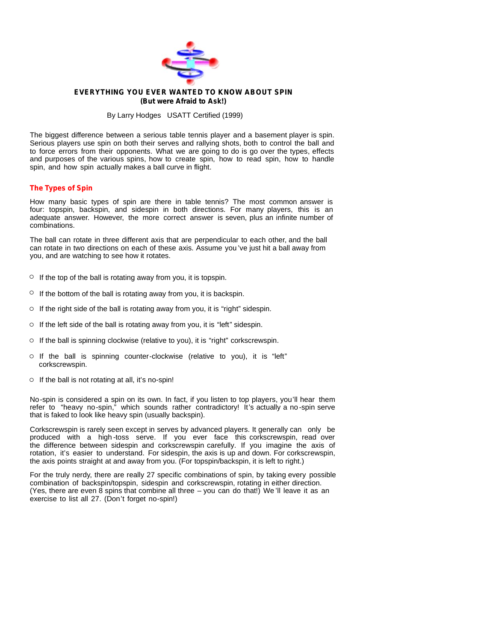

# **EVERYTHING YOU EVER WANTED TO KNOW ABOUT SPIN (But were Afraid to Ask!)**

By Larry Hodges USATT Certified (1999)

The biggest difference between a serious table tennis player and a basement player is spin. Serious players use spin on both their serves and rallying shots, both to control the ball and to force errors from their opponents. What we are going to do is go over the types, effects and purposes of the various spins, how to create spin, how to read spin, how to handle spin, and how spin actually makes a ball curve in flight.

# **The Types of Spin**

How many basic types of spin are there in table tennis? The most common answer is four: topspin, backspin, and sidespin in both directions. For many players, this is an adequate answer. However, the more correct answer is seven, plus an infinite number of combinations.

The ball can rotate in three different axis that are perpendicular to each other, and the ball can rotate in two directions on each of these axis. Assume you 've just hit a ball away from you, and are watching to see how it rotates.

- $\circ$  If the top of the ball is rotating away from you, it is topspin.
- $\circ$  If the bottom of the ball is rotating away from you, it is backspin.
- $\circ$  If the right side of the ball is rotating away from you, it is "right" sidespin.
- $\circ$  If the left side of the ball is rotating away from you, it is "left" sidespin.
- $\circ$  If the ball is spinning clockwise (relative to you), it is "right" corkscrewspin.
- o If the ball is spinning counter-clockwise (relative to you), it is "left" corkscrewspin.
- $\circ$  If the ball is not rotating at all, it's no-spin!

No-spin is considered a spin on its own. In fact, if you listen to top players, you'll hear them refer to "heavy no-spin," which sounds rather contradictory! It's actually a no -spin serve that is faked to look like heavy spin (usually backspin).

Corkscrewspin is rarely seen except in serves by advanced players. It generally can only be produced with a high -toss serve. If you ever face this corkscrewspin, read over the difference between sidespin and corkscrewspin carefully. If you imagine the axis of rotation, it's easier to understand. For sidespin, the axis is up and down. For corkscrewspin, the axis points straight at and away from you. (For topspin/backspin, it is left to right.)

For the truly nerdy, there are really 27 specific combinations of spin, by taking every possible combination of backspin/topspin, sidespin and corkscrewspin, rotating in either direction. (Yes, there are even 8 spins that combine all three – you can do that!) We 'll leave it as an exercise to list all 27. (Don't forget no-spin!)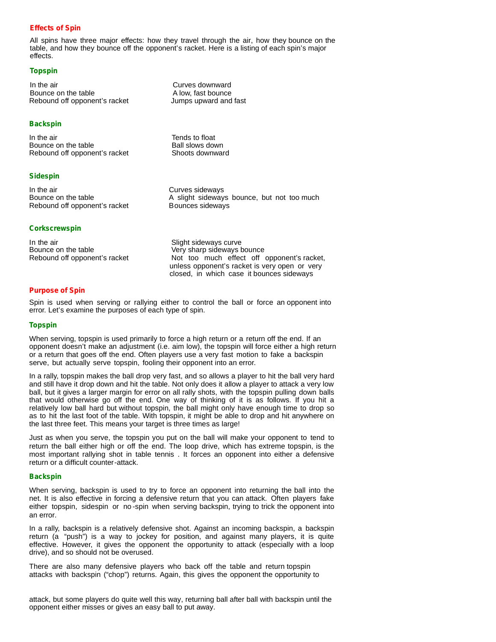# **Effects of Spin**

All spins have three major effects: how they travel through the air, how they bounce on the table, and how they bounce off the opponent's racket. Here is a listing of each spin's major effects.

## **Topspin**

In the air **In the air** Curves downward Bounce on the table A low, fast bounce Rebound off opponent's racket

## **Backspin**

In the air Bounce on the table Rebound off opponent's racket

## **Sidespin**

In the air Bounce on the table Rebound off opponent's racket

## **Corkscrewspin**

In the air Bounce on the table Rebound off opponent's racket Curves sideways A slight sideways bounce, but not too much

Slight sideways curve Very sharp sideways bounce Not too much effect off opponent's racket,

unless opponent's racket is very open or very closed, in which case it bounces sideways

**Purpose of Spin**

Spin is used when serving or rallying either to control the ball or force an opponent into error. Let's examine the purposes of each type of spin.

## **Topspin**

When serving, topspin is used primarily to force a high return or a return off the end. If an opponent doesn't make an adjustment (i.e. aim low), the topspin will force either a high return or a return thatgoes off the end. Often players use a very fast motion to fake a backspin serve, but actually serve topspin, fooling their opponent into an error.

In a rally, topspin makes the ball drop very fast, and so allows a player to hit the ball very hard and still have it drop down and hit the table. Not only does it allow a player to attack a very low ball, but it gives a larger margin for error on all rally shots, with the topspin pulling down balls that would otherwise go off the end. One way of thinking of it is as follows. If you hit a relatively low ball hard but without topspin, the ball might only have enough time to drop so as to hit the last foot of the table. With topspin, it might be able to drop and hit anywhere on the last three feet. This means your target is three times as large!

Just as when you serve, the topspin you put on the ball will make your opponent to tend to return the ball either high or off the end. The loop drive, which has extreme topspin, is the most important rallying shot in table tennis . It forces an opponent into either a defensive return or a difficult counter-attack.

### **Backspin**

When serving, backspin is used to try to force an opponent into returning the ball into the net. It is also effective in forcing a defensive return thatyou can attack. Often players fake either topspin, sidespin or no -spin when serving backspin, trying to trick the opponent into an error.

In a rally, backspin is a relatively defensive shot. Against an incoming backspin, a backspin return (a "push") is a way to jockey for position, and against many players, it is quite effective. However, it gives the opponent the opportunity to attack (especially with a loop drive), and so should not be overused.

There are also many defensive players who back off the table and return topspin attacks with backspin ("chop") returns. Again, this gives the opponent the opportunity to

attack, but some players do quite well this way, returning ball after ball with backspin until the opponent either misses or gives an easy ball to put away.

Jumps upward and fast

Tends to float Ball slows down Shoots downward

Bounces sideways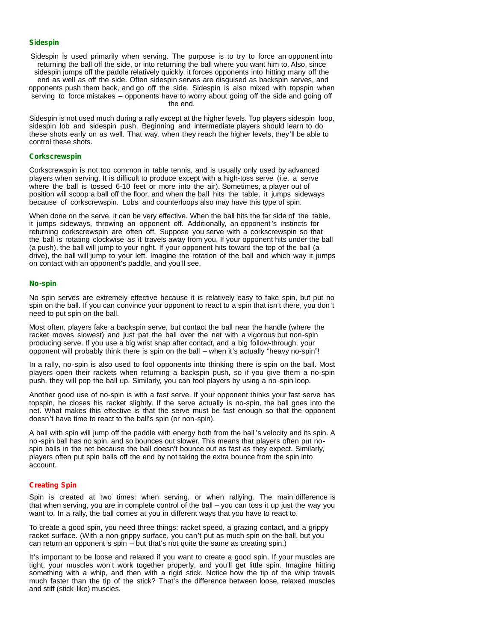#### **Sidespin**

Sidespin is used primarily when serving. The purpose is to try to force an opponent into returning the ball off the side, or into returning the ball where you want him to. Also, since sidespin jumps off the paddle relatively quickly, it forces opponents into hitting many off the end as well as off the side. Often sidespin serves are disguised as backspin serves, and opponents push them back, and go off the side. Sidespin is also mixed with topspin when serving to force mistakes – opponents have to worry about going off the side and going off the end.

Sidespin is not used much during a rally except at the higher levels. Top players sidespin loop, sidespin lob and sidespin push. Beginning and intermediate players should learn to do these shots early on as well. That way, when they reach the higher levels, they'll be able to control these shots.

### **Corkscrewspin**

Corkscrewspin is not too common in table tennis, and is usually only used by advanced players when serving. It is difficult to produce except with a high-toss serve (i.e. a serve where the ball is tossed 6-10 feet or more into the air). Sometimes, a player out of position will scoop a ball off the floor, and when the ball hits the table, it jumps sideways because of corkscrewspin. Lobs and counterloops also may have this type of spin.

When done on the serve, it can be very effective. When the ball hits the far side of the table, it jumps sideways, throwing an opponent off. Additionally, an opponent 's instincts for returning corkscrewspin are often off. Suppose you serve with a corkscrewspin so that the ball is rotating clockwise as it travels away from you. If your opponent hits under the ball (a push), the ball will jump to your right. If your opponent hits toward the top of the ball (a drive), the ball will jump to your left. Imagine the rotation of the ball and which way it jumps on contact with an opponent's paddle, and you'll see.

### **No-spin**

No-spin serves are extremely effective because it is relatively easy to fake spin, but put no spin on the ball. If you can convince your opponent to react to a spin that isn't there, you don't need to put spin on the ball.<br>Most often, players fake a backspin serve, but contact the ball near the handle (where the

racket moves slowest) and just pat the ball over the net with a vigorous but non-spin producing serve. If you use a big wrist snap after contact, and a big follow-through, your opponent will probably think there is spin on the ball – when it's actually "heavy no-spin"!

In a rally, no-spin is also used to fool opponents into thinking there is spin on the ball. Most players open their rackets when returning a backspin push, so if you give them a no-spin push, they will pop the ball up. Similarly, you can fool players by using a no-spin loop.

Another good use of no-spin is with a fast serve. If your opponent thinks your fast serve has topspin, he closes his racket slightly. If the serve actually is no-spin, the ball goes into the net. What makes this effective is that the serve must be fastenough so that the opponent doesn't have time to react to the ball's spin (or non-spin).

A ball with spin will jump off the paddle with energy both from the ball 's velocity and its spin. A no -spin ball has no spin, and so bounces out slower. This means that players often put nospin balls in the net because the ball doesn't bounce out as fast as they expect. Similarly, players often put spin balls off the end by not taking the extra bounce from the spin into account.

## **Creating Spin**

Spin is created at two times: when serving, or when rallying. The main difference is that when serving, you are in complete control of the ball – you can toss it up just the way you want to. In a rally, the ball comes at you in different ways that you have to react to.

To create a good spin, you need three things: racket speed, a grazing contact, and a grippy racket surface. (With a non-grippy surface, you can't put as much spin on the ball, but you can return an opponent 's spin – but that's not quite the same as creating spin.)

It's important to be loose and relaxed if you want to create a good spin. If your muscles are tight, your muscles won't work together properly, and you'll get little spin. Imagine hitting something with a whip, and then with a rigid stick. Notice how the tip of the whip travels much faster than the tip of the stick? That's the difference between loose, relaxed muscles and stiff (stick-like) muscles.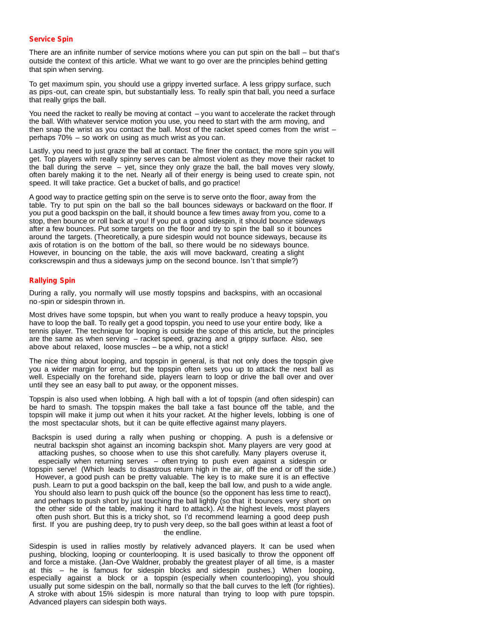## **Service Spin**

There are an infinite number of service motions where you can put spin on the ball – but that's outside the context of this article. What we want to go over are the principles behind getting that spin when serving.

To get maximum spin, you should use a grippy inverted surface. A less grippy surface, such as pips -out, can create spin, but substantially less. To really spin that ball, you need a surface that really grips the ball.

You need the racket to really be moving at contact – you want to accelerate the racket through the ball. With whatever service motion you use, you need to start with the arm moving, and then snap the wrist as you contact the ball. Most of the racket speed comes from the wrist – perhaps  $70\%$  – so work on using as much wrist as you can.

Lastly, you need to just graze the ball at contact. The finer the contact, the more spin you will get. Top players with really spinny serves can be almost violent as they move their racket to the ball during the serve – yet, since they only graze the ball, the ball moves very slowly, often barely making it to the net. Nearly all of their energy is being used to create spin, not speed. It will take practice. Get a bucket of balls, and go practice!

A good way to practice getting spin on the serve is to serve onto the floor, away from the table. Try to put spin on the ball so the ball bounces sideways or backward on the floor. If you put a good backspin on the ball, it should bounce a few times away from you, come to a stop, then bounce or roll back at you! If you put a good sidespin, it should bounce sideways after a few bounces. Put some targets on the floor and try to spin the ball so it bounces around the targets. (Theoretically, a pure sidespin would not bounce sideways, because its axis of rotation is on the bottom of the ball, so there would be no sideways bounce. However, in bouncing on the table, the axis will move backward, creating a slight corkscrewspin and thus a sideways jump on the second bounce. Isn't that simple?)

### **Rallying Spin**

During a rally, you normally will use mostly topspins and backspins, with an occasional no-spin or sidespin thrown in.

Most drives have some topspin, but when you want to really produce a heavy topspin, you have to loop the ball. To really get a good topspin, you need to use your entire body, like a tennis player. The technique for looping is outside the scope of this article, but the principles are the same as when serving – racket speed, grazing and a grippy surface. Also, see above about relaxed, loose muscles – be a whip, not a stick!

The nice thing about looping, and topspin in general, is that not only does the topspin give you a wider margin for error, but the topspin often sets you up to attack the next ball as well. Especially on the forehand side, players learn to loop or drive the ball over and over until they see an easy ball to put away, or the opponent misses.

Topspin is also used when lobbing. A high ball with a lot of topspin (and often sidespin) can be hard to smash. The topspin makes the ball take a fast bounce off the table, and the topspin will make it jump out when it hits your racket. At the higher levels, lobbing is one of the most spectacular shots, but it can be quite effective against many players.

Backspin is used during a rally when pushing or chopping. A push is a defensive or neutral backspin shot against an incoming backspin shot. Many players are very good at attacking pushes, so choose when to use this shot carefully. Many players overuse it, especially when returning serves – often trying to push even against a sidespin or topspin serve! (Which leads to disastrous return high in the air, off the end or off the side.) However, a good push can be pretty valuable. The key is to make sure it is an effective push. Learn to put a good backspin on the ball, keep the ball low, and push to a wide angle. You should also learn to push quick off the bounce (so the opponent has less time to react), and perhaps to push short by just touching the ball lightly (so that it bounces very short on the other side of the table, making it hard to attack). At the highest levels, most players often push short. But this is a tricky shot, so I'd recommend learning a good deep push first. If you are pushing deep, try to push very deep, so the ball goes within at least a footof the endline.

Sidespin is used in rallies mostly by relatively advanced players. It can be used when pushing, blocking, looping or counterlooping. It is used basically to throw the opponent off and force a mistake. (Jan-Ove Waldner, probably the greatest player of all time, is a master at this – he is famous for sidespin blocks and sidespin pushes.) When looping, especially against a block or a topspin (especially when counterlooping), you should usually put some sidespin on the ball, normally so that the ball curves to the left (for righties). A stroke with about 15% sidespin is more natural than trying to loop with pure topspin. Advanced players can sidespin both ways.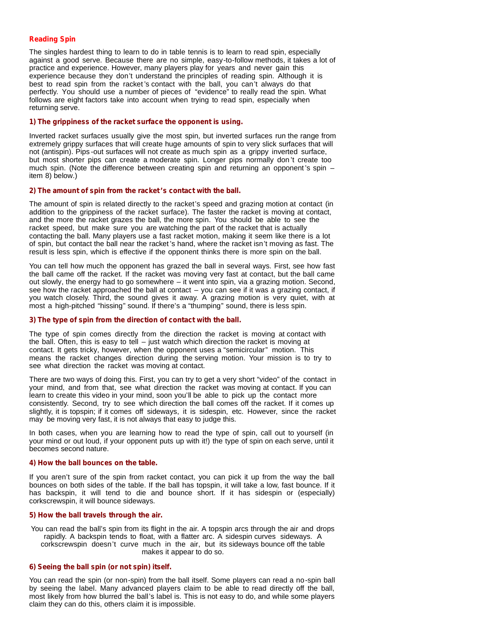# **Reading Spin**

The singles hardest thing to learn to do in table tennis is to learn to read spin, especially against a good serve. Because there are no simple, easy-to-follow methods, it takes a lot of practice and experience. However, many players play for years and never gain this experience because they don't understand the principles of reading spin. Although it is best to read spin from the racket 's contact with the ball, you can't always do that perfectly. You should use a number of pieces of "evidence" to really read the spin. What follows are eight factors take into account when trying to read spin, especially when returning serve.

### **1) The grippiness of the racket surface the opponent is using.**

Inverted racket surfaces usually give the most spin, but inverted surfaces run the range from extremely grippy surfaces that will create huge amounts of spin to very slick surfaces that will not (antispin). Pips -out surfaces will not create as much spin as a grippy inverted surface, but most shorter pips can create a moderate spin. Longer pips normally don 't create too much spin. (Note the difference between creating spin and returning an opponent 's spin – item 8) below.)

### **2) The amount of spin from the racket's contact with the ball.**

The amount of spin is related directly to the racket's speed and grazing motion at contact (in addition to the grippiness of the racket surface). The faster the racket is moving at contact, and the more the racket grazes the ball, the more spin. You should be able to see the racket speed, but make sure you are watching the part of the racket that is actually contacting the ball. Many players use a fastracket motion, making it seem like there is a lot of spin, but contact the ball near the racket's hand, where the racket isn't moving as fast. The result is less spin, which is effective if the opponent thinks there is more spin on the ball.

You can tell how much the opponent has grazed the ball in several ways. First, see how fast the ball came off the racket. If the racket was moving very fast at contact, but the ball came out slowly, the energy had to go somewhere – it went into spin, via a grazing motion. Second, see how the racket approached the ball at contact – you can see if it was a grazing contact, if you watch closely. Third, the sound gives it away. A grazing motion is very quiet, with at most a high-pitched "hissing" sound. If there's a "thumping" sound, there is less spin.

## **3) The type of spin from the direction of contact with the ball.**

The type of spin comes directly from the direction the racket is moving at contact with the ball. Often, this is easy to tell  $-$  just watch which direction the racket is moving at contact. It gets tricky, however, when the opponent uses a "semicircular" motion. This means the racket changes direction during the serving motion. Your mission is to try to see what direction the racket was moving at contact.

There are two ways of doing this. First, you can try to get a very short "video" of the contact in your mind, and from that, see what direction the racket was moving at contact. If you can learn to create this video in your mind, soon you'll be able to pick up the contact more consistently. Second, try to see which direction the ball comes off the racket. If it comes up slightly, it is topspin; if it comes off sideways, it is sidespin, etc. However, since the racket may be moving very fast, it is not always that easy to judge this.

In both cases, when you are learning how to read the type of spin, call out to yourself (in your mind or out loud, if your opponent puts up with it!) the type of spin on each serve, until it becomes second nature.

### **4) How the ballbounces on the table.**

If you aren't sure of the spin from racket contact, you can pick it up from the way the ball bounces on both sides of the table. If the ball has topspin, it will take a low, fast bounce. If it has backspin, it will tend to die and bounce short. If it has sidespin or (especially) corkscrewspin, it will bounce sideways.

### **5) How the ball travels through the air.**

You can read the ball's spin from its flight in the air. A topspin arcs through the air and drops rapidly. A backspin tends to float, with a flatter arc. A sidespin curves sideways. A corkscrewspin doesn't curve much in the air, but its sideways bounce off the table makes it appear to do so.

# **6) Seeing the ball spin (ornot spin) itself.**

You can read the spin (or non-spin) from the ball itself. Some players can read a no-spin ball by seeing the label. Many advanced players claim to be able to read directly off the ball, most likely from how blurred the ball's label is. This is noteasy to do, and while some players claim they can do this, others claim it is impossible.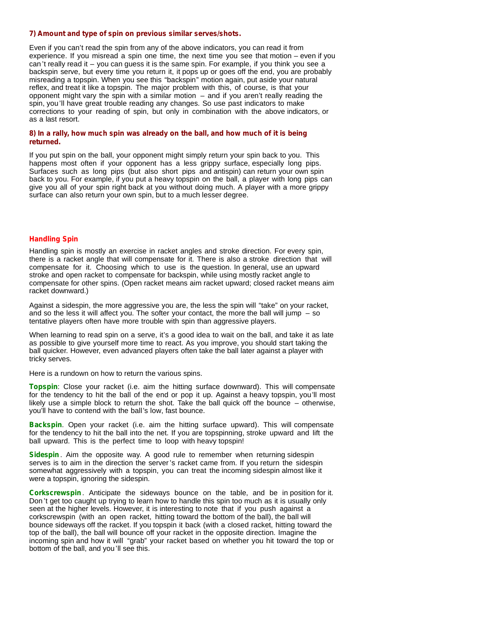### **7) Amount and type of spin on previous similar serves/shots.**

Even if you can't read the spin from any of the above indicators, you can read it from experience. If you misread a spin one time, the next time you see thatmotion – even if you can 't really read it – you can guess it is the same spin. For example, if you think you see a backspin serve, but every time you return it, it pops up or goes off the end, you are probably misreading a topspin. When you see this "backspin" motion again, put aside your natural reflex, and treat it like a topspin. The major problem with this, of course, is that your opponent might vary the spin with a similar motion  $-$  and if you aren't really reading the spin, you'll have great trouble reading any changes. So use past indicators to make corrections to your reading of spin, but only in combination with the above indicators, or as a last resort.

## **8) In a rally, how much spin was already on the ball, and how much of it is being returned.**

If you put spin on the ball, your opponent might simply return your spin back to you. This happens most often if your opponent has a less grippy surface, especially long pips. Surfaces such as long pips (but also short pips and antispin) can return your own spin back to you. For example, if you put a heavy topspin on the ball, a player with long pips can give you all of your spin right back at you without doing much. A player with a more grippy surface can also return your own spin, but to a much lesser degree.

### **Handling Spin**

Handling spin is mostly an exercise in racket angles and stroke direction. For every spin, there is a racket angle thatwill compensate for it. There is also a stroke direction that will compensate for it. Choosing which to use is the question. In general, use an upward stroke and open racket to compensate for backspin, while using mostly racket angle to compensate for other spins. (Open racket means aim racket upward; closed racket means aim racket downward.)

Against a sidespin, the more aggressive you are, the less the spin will "take" on your racket, and so the less it will affect you. The softer your contact, the more the ball will jump  $-$  so tentative players often have more trouble with spin than aggressive players.

When learning to read spin on a serve, it's a good idea to wait on the ball, and take it as late as possible to give yourself more time to react. As you improve, you should start taking the ball quicker. However, even advanced players often take the ball later against a player with tricky serves.

Here is a rundown on how to return the various spins.

**Topspin**: Close your racket (i.e. aim the hitting surface downward). This will compensate for the tendency to hit the ball of the end or pop it up. Against a heavy topspin, you'll most likely use a simple block to return the shot. Take the ball quick off the bounce – otherwise, you'll have to contend with the ball's low, fast bounce.

**Backspin.** Open your racket (i.e. aim the hitting surface upward). This will compensate for the tendency to hit the ball into the net. If you are topspinning, stroke upward and lift the ball upward. This is the perfect time to loop with heavy topspin!

**Sidespin**. Aim the opposite way. A good rule to remember when returning sidespin serves is to aim in the direction the server's racket came from. If you return the sidespin somewhat aggressively with a topspin, you can treat the incoming sidespin almost like it were a topspin, ignoring the sidespin.

**Corkscrewspin**. Anticipate the sideways bounce on the table, and be in position for it. Don 't get too caught up trying to learn how to handle this spin too much as it is usually only seen at the higher levels. However, it is interesting to note that if you push against a corkscrewspin (with an open racket, hitting toward the bottom of the ball), the ball will bounce sideways off the racket. If you topspin it back (with a closed racket, hitting toward the top of the ball), the ball will bounce off your racket in the opposite direction. Imagine the incoming spin and how it will "grab" your racket based on whether you hit toward the top or bottom of the ball, and you'll see this.